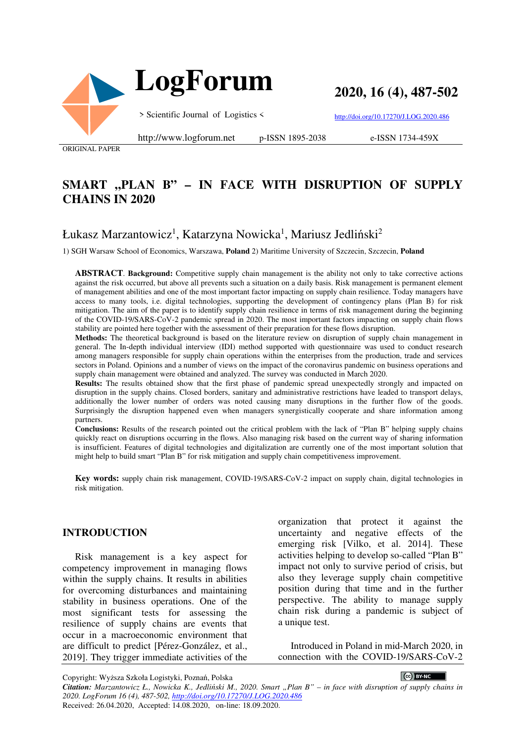

**2020, 16 (4), 487-502**

> Scientific Journal of Logistics <

http://doi.org/10.17270/J.LOG.2020.486

ORIGINAL PAPER

#### http://www.logforum.net p-ISSN 1895-2038

e-ISSN 1734-459X

# SMART "PLAN B" - IN FACE WITH DISRUPTION OF SUPPLY **CHAINS IN 2020**

## Łukasz Marzantowicz<sup>1</sup>, Katarzyna Nowicka<sup>1</sup>, Mariusz Jedliński<sup>2</sup>

1) SGH Warsaw School of Economics, Warszawa, **Poland** 2) Maritime University of Szczecin, Szczecin, **Poland**

**ABSTRACT**. **Background:** Competitive supply chain management is the ability not only to take corrective actions against the risk occurred, but above all prevents such a situation on a daily basis. Risk management is permanent element of management abilities and one of the most important factor impacting on supply chain resilience. Today managers have access to many tools, i.e. digital technologies, supporting the development of contingency plans (Plan B) for risk mitigation. The aim of the paper is to identify supply chain resilience in terms of risk management during the beginning of the COVID-19/SARS-CoV-2 pandemic spread in 2020. The most important factors impacting on supply chain flows stability are pointed here together with the assessment of their preparation for these flows disruption.

**Methods:** The theoretical background is based on the literature review on disruption of supply chain management in general. The In-depth individual interview (IDI) method supported with questionnaire was used to conduct research among managers responsible for supply chain operations within the enterprises from the production, trade and services sectors in Poland. Opinions and a number of views on the impact of the coronavirus pandemic on business operations and supply chain management were obtained and analyzed. The survey was conducted in March 2020.

**Results:** The results obtained show that the first phase of pandemic spread unexpectedly strongly and impacted on disruption in the supply chains. Closed borders, sanitary and administrative restrictions have leaded to transport delays, additionally the lower number of orders was noted causing many disruptions in the further flow of the goods. Surprisingly the disruption happened even when managers synergistically cooperate and share information among partners.

**Conclusions:** Results of the research pointed out the critical problem with the lack of "Plan B" helping supply chains quickly react on disruptions occurring in the flows. Also managing risk based on the current way of sharing information is insufficient. Features of digital technologies and digitalization are currently one of the most important solution that might help to build smart "Plan B" for risk mitigation and supply chain competitiveness improvement.

**Key words:** supply chain risk management, COVID-19/SARS-CoV-2 impact on supply chain, digital technologies in risk mitigation.

#### **INTRODUCTION**

Risk management is a key aspect for competency improvement in managing flows within the supply chains. It results in abilities for overcoming disturbances and maintaining stability in business operations. One of the most significant tests for assessing the resilience of supply chains are events that occur in a macroeconomic environment that are difficult to predict [Pérez-González, et al., 2019]. They trigger immediate activities of the organization that protect it against the uncertainty and negative effects of the emerging risk [Vilko, et al. 2014]. These activities helping to develop so-called "Plan B" impact not only to survive period of crisis, but also they leverage supply chain competitive position during that time and in the further perspective. The ability to manage supply chain risk during a pandemic is subject of a unique test.

Introduced in Poland in mid-March 2020, in connection with the COVID-19/SARS-CoV-2

CC BY-NC *Citation: Marzantowicz Ł., Nowicka K., Jedliński M., 2020. Smart "Plan B" – in face with disruption of supply chains in 2020. LogForum 16 (4), 487-502, http://doi.org/10.17270/J.LOG.2020.486*  Received: 26.04.2020, Accepted: 14.08.2020, on-line: 18.09.2020.

Copyright: Wyższa Szkoła Logistyki, Poznań, Polska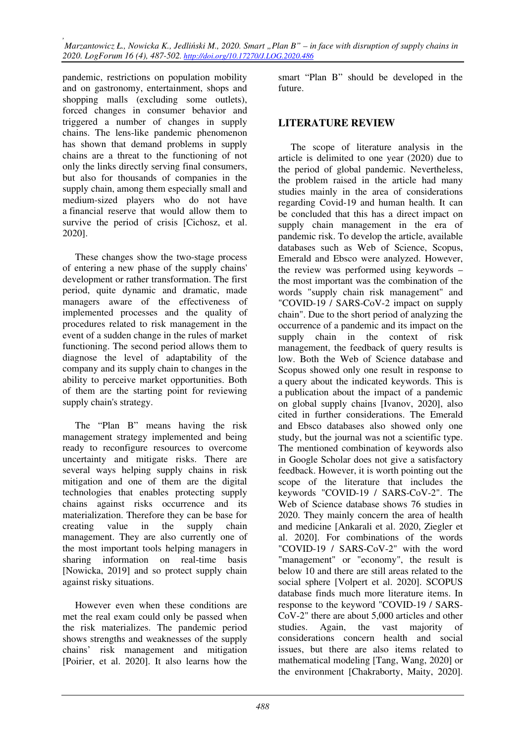pandemic, restrictions on population mobility and on gastronomy, entertainment, shops and shopping malls (excluding some outlets), forced changes in consumer behavior and triggered a number of changes in supply chains. The lens-like pandemic phenomenon has shown that demand problems in supply chains are a threat to the functioning of not only the links directly serving final consumers, but also for thousands of companies in the supply chain, among them especially small and medium-sized players who do not have a financial reserve that would allow them to survive the period of crisis [Cichosz, et al. 2020].

These changes show the two-stage process of entering a new phase of the supply chains' development or rather transformation. The first period, quite dynamic and dramatic, made managers aware of the effectiveness of implemented processes and the quality of procedures related to risk management in the event of a sudden change in the rules of market functioning. The second period allows them to diagnose the level of adaptability of the company and its supply chain to changes in the ability to perceive market opportunities. Both of them are the starting point for reviewing supply chain's strategy.

The "Plan B" means having the risk management strategy implemented and being ready to reconfigure resources to overcome uncertainty and mitigate risks. There are several ways helping supply chains in risk mitigation and one of them are the digital technologies that enables protecting supply chains against risks occurrence and its materialization. Therefore they can be base for creating value in the supply chain management. They are also currently one of the most important tools helping managers in sharing information on real-time basis [Nowicka, 2019] and so protect supply chain against risky situations.

However even when these conditions are met the real exam could only be passed when the risk materializes. The pandemic period shows strengths and weaknesses of the supply chains' risk management and mitigation [Poirier, et al. 2020]. It also learns how the

smart "Plan B" should be developed in the future.

### **LITERATURE REVIEW**

The scope of literature analysis in the article is delimited to one year (2020) due to the period of global pandemic. Nevertheless, the problem raised in the article had many studies mainly in the area of considerations regarding Covid-19 and human health. It can be concluded that this has a direct impact on supply chain management in the era of pandemic risk. To develop the article, available databases such as Web of Science, Scopus, Emerald and Ebsco were analyzed. However, the review was performed using keywords – the most important was the combination of the words "supply chain risk management" and "COVID-19 / SARS-CoV-2 impact on supply chain". Due to the short period of analyzing the occurrence of a pandemic and its impact on the supply chain in the context of risk management, the feedback of query results is low. Both the Web of Science database and Scopus showed only one result in response to a query about the indicated keywords. This is a publication about the impact of a pandemic on global supply chains [Ivanov, 2020], also cited in further considerations. The Emerald and Ebsco databases also showed only one study, but the journal was not a scientific type. The mentioned combination of keywords also in Google Scholar does not give a satisfactory feedback. However, it is worth pointing out the scope of the literature that includes the keywords "COVID-19 / SARS-CoV-2". The Web of Science database shows 76 studies in 2020. They mainly concern the area of health and medicine [Ankarali et al. 2020, Ziegler et al. 2020]. For combinations of the words "COVID-19 / SARS-CoV-2" with the word "management" or "economy", the result is below 10 and there are still areas related to the social sphere [Volpert et al. 2020]. SCOPUS database finds much more literature items. In response to the keyword "COVID-19 / SARS-CoV-2" there are about 5,000 articles and other studies. Again, the vast majority of considerations concern health and social issues, but there are also items related to mathematical modeling [Tang, Wang, 2020] or the environment [Chakraborty, Maity, 2020].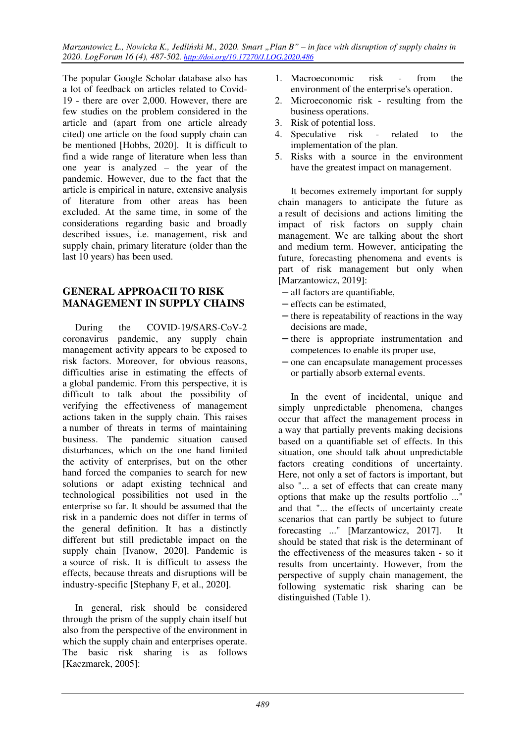The popular Google Scholar database also has a lot of feedback on articles related to Covid-19 - there are over 2,000. However, there are few studies on the problem considered in the article and (apart from one article already cited) one article on the food supply chain can be mentioned [Hobbs, 2020]. It is difficult to find a wide range of literature when less than one year is analyzed – the year of the pandemic. However, due to the fact that the article is empirical in nature, extensive analysis of literature from other areas has been excluded. At the same time, in some of the considerations regarding basic and broadly described issues, i.e. management, risk and supply chain, primary literature (older than the last 10 years) has been used.

### **GENERAL APPROACH TO RISK MANAGEMENT IN SUPPLY CHAINS**

During the COVID-19/SARS-CoV-2 coronavirus pandemic, any supply chain management activity appears to be exposed to risk factors. Moreover, for obvious reasons, difficulties arise in estimating the effects of a global pandemic. From this perspective, it is difficult to talk about the possibility of verifying the effectiveness of management actions taken in the supply chain. This raises a number of threats in terms of maintaining business. The pandemic situation caused disturbances, which on the one hand limited the activity of enterprises, but on the other hand forced the companies to search for new solutions or adapt existing technical and technological possibilities not used in the enterprise so far. It should be assumed that the risk in a pandemic does not differ in terms of the general definition. It has a distinctly different but still predictable impact on the supply chain [Ivanow, 2020]. Pandemic is a source of risk. It is difficult to assess the effects, because threats and disruptions will be industry-specific [Stephany F, et al., 2020].

In general, risk should be considered through the prism of the supply chain itself but also from the perspective of the environment in which the supply chain and enterprises operate. The basic risk sharing is as follows [Kaczmarek, 2005]:

- 1. Macroeconomic risk from the environment of the enterprise's operation.
- 2. Microeconomic risk resulting from the business operations.
- 3. Risk of potential loss.
- 4. Speculative risk related to the implementation of the plan.
- 5. Risks with a source in the environment have the greatest impact on management.

It becomes extremely important for supply chain managers to anticipate the future as a result of decisions and actions limiting the impact of risk factors on supply chain management. We are talking about the short and medium term. However, anticipating the future, forecasting phenomena and events is part of risk management but only when [Marzantowicz, 2019]:

- − all factors are quantifiable,
- − effects can be estimated,
- − there is repeatability of reactions in the way decisions are made,
- − there is appropriate instrumentation and competences to enable its proper use,
- − one can encapsulate management processes or partially absorb external events.

In the event of incidental, unique and simply unpredictable phenomena, changes occur that affect the management process in a way that partially prevents making decisions based on a quantifiable set of effects. In this situation, one should talk about unpredictable factors creating conditions of uncertainty. Here, not only a set of factors is important, but also "... a set of effects that can create many options that make up the results portfolio ..." and that "... the effects of uncertainty create scenarios that can partly be subject to future forecasting ..." [Marzantowicz, 2017]. It should be stated that risk is the determinant of the effectiveness of the measures taken - so it results from uncertainty. However, from the perspective of supply chain management, the following systematic risk sharing can be distinguished (Table 1).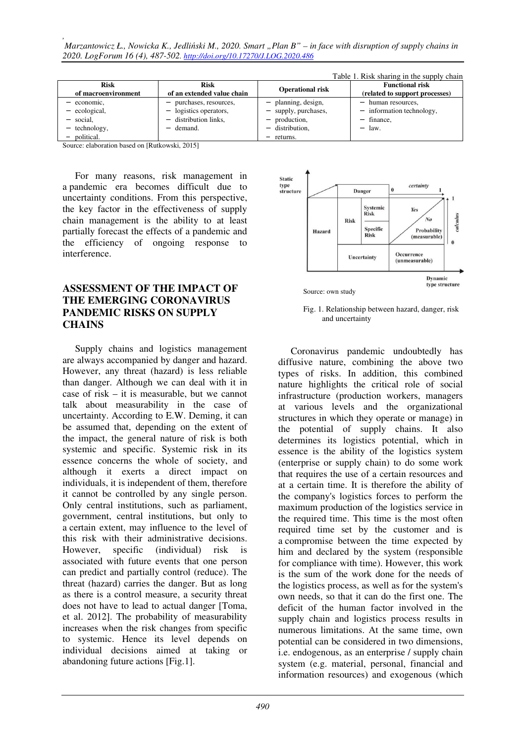*, Marzantowicz Ł., Nowicka K., Jedliński M., 2020. Smart "Plan B" – in face with disruption of supply chains in 2020. LogForum 16 (4), 487-502. http://doi.org/10.17270/J.LOG.2020.486* 

|                     |                            |                         | Table 1. Risk sharing in the supply chain |
|---------------------|----------------------------|-------------------------|-------------------------------------------|
| <b>Risk</b>         | <b>Risk</b>                | <b>Operational risk</b> | <b>Functional risk</b>                    |
| of macroenvironment | of an extended value chain |                         | (related to support processes)            |
| economic,           | purchases, resources,      | planning, design,       | human resources,                          |
| ecological,         | logistics operators,       | supply, purchases,      | - information technology,                 |
| social.             | distribution links,        | production,             | - finance,                                |
| technology,         | demand.                    | distribution.           | law.                                      |
| political.          |                            | returns.                |                                           |

Source: elaboration based on [Rutkowski, 2015]

For many reasons, risk management in a pandemic era becomes difficult due to uncertainty conditions. From this perspective, the key factor in the effectiveness of supply chain management is the ability to at least partially forecast the effects of a pandemic and the efficiency of ongoing response to interference.

### **ASSESSMENT OF THE IMPACT OF THE EMERGING CORONAVIRUS PANDEMIC RISKS ON SUPPLY CHAINS**

Supply chains and logistics management are always accompanied by danger and hazard. However, any threat (hazard) is less reliable than danger. Although we can deal with it in case of risk – it is measurable, but we cannot talk about measurability in the case of uncertainty. According to E.W. Deming, it can be assumed that, depending on the extent of the impact, the general nature of risk is both systemic and specific. Systemic risk in its essence concerns the whole of society, and although it exerts a direct impact on individuals, it is independent of them, therefore it cannot be controlled by any single person. Only central institutions, such as parliament, government, central institutions, but only to a certain extent, may influence to the level of this risk with their administrative decisions. However, specific (individual) risk is associated with future events that one person can predict and partially control (reduce). The threat (hazard) carries the danger. But as long as there is a control measure, a security threat does not have to lead to actual danger [Toma, et al. 2012]. The probability of measurability increases when the risk changes from specific to systemic. Hence its level depends on individual decisions aimed at taking or abandoning future actions [Fig.1].



 Fig. 1. Relationship between hazard, danger, risk and uncertainty

Coronavirus pandemic undoubtedly has diffusive nature, combining the above two types of risks. In addition, this combined nature highlights the critical role of social infrastructure (production workers, managers at various levels and the organizational structures in which they operate or manage) in the potential of supply chains. It also determines its logistics potential, which in essence is the ability of the logistics system (enterprise or supply chain) to do some work that requires the use of a certain resources and at a certain time. It is therefore the ability of the company's logistics forces to perform the maximum production of the logistics service in the required time. This time is the most often required time set by the customer and is a compromise between the time expected by him and declared by the system (responsible for compliance with time). However, this work is the sum of the work done for the needs of the logistics process, as well as for the system's own needs, so that it can do the first one. The deficit of the human factor involved in the supply chain and logistics process results in numerous limitations. At the same time, own potential can be considered in two dimensions, i.e. endogenous, as an enterprise / supply chain system (e.g. material, personal, financial and information resources) and exogenous (which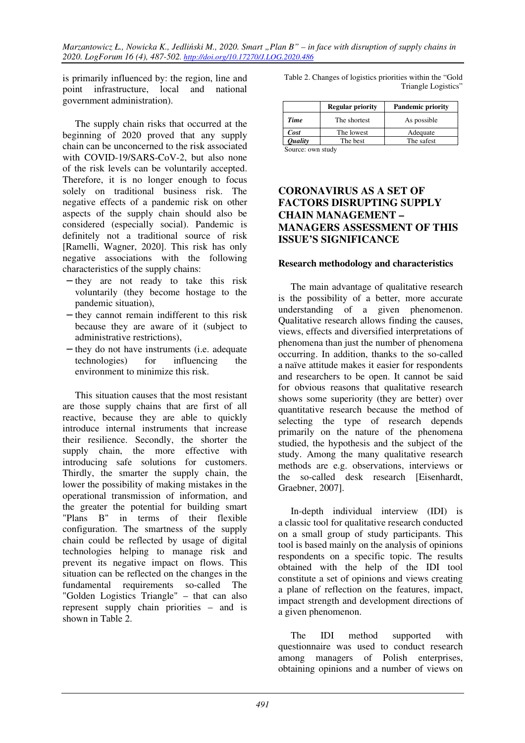is primarily influenced by: the region, line and point infrastructure, local and national government administration).

The supply chain risks that occurred at the beginning of 2020 proved that any supply chain can be unconcerned to the risk associated with COVID-19/SARS-CoV-2, but also none of the risk levels can be voluntarily accepted. Therefore, it is no longer enough to focus solely on traditional business risk. The negative effects of a pandemic risk on other aspects of the supply chain should also be considered (especially social). Pandemic is definitely not a traditional source of risk [Ramelli, Wagner, 2020]. This risk has only negative associations with the following characteristics of the supply chains:

- − they are not ready to take this risk voluntarily (they become hostage to the pandemic situation),
- − they cannot remain indifferent to this risk because they are aware of it (subject to administrative restrictions),
- − they do not have instruments (i.e. adequate technologies) for influencing the environment to minimize this risk.

This situation causes that the most resistant are those supply chains that are first of all reactive, because they are able to quickly introduce internal instruments that increase their resilience. Secondly, the shorter the supply chain, the more effective with introducing safe solutions for customers. Thirdly, the smarter the supply chain, the lower the possibility of making mistakes in the operational transmission of information, and the greater the potential for building smart "Plans B" in terms of their flexible configuration. The smartness of the supply chain could be reflected by usage of digital technologies helping to manage risk and prevent its negative impact on flows. This situation can be reflected on the changes in the fundamental requirements so-called The "Golden Logistics Triangle" – that can also represent supply chain priorities – and is shown in Table 2.

| Table 2. Changes of logistics priorities within the "Gold" |
|------------------------------------------------------------|
| Triangle Logistics"                                        |

|                       | <b>Regular priority</b> | <b>Pandemic priority</b> |  |  |
|-----------------------|-------------------------|--------------------------|--|--|
| <b>Time</b>           | The shortest            | As possible              |  |  |
| Cost                  | The lowest              | Adequate                 |  |  |
| <i><b>Quality</b></i> | The best                | The safest               |  |  |
| Common common della   |                         |                          |  |  |

Source: own study

### **CORONAVIRUS AS A SET OF FACTORS DISRUPTING SUPPLY CHAIN MANAGEMENT – MANAGERS ASSESSMENT OF THIS ISSUE'S SIGNIFICANCE**

### **Research methodology and characteristics**

The main advantage of qualitative research is the possibility of a better, more accurate understanding of a given phenomenon. Qualitative research allows finding the causes, views, effects and diversified interpretations of phenomena than just the number of phenomena occurring. In addition, thanks to the so-called a naïve attitude makes it easier for respondents and researchers to be open. It cannot be said for obvious reasons that qualitative research shows some superiority (they are better) over quantitative research because the method of selecting the type of research depends primarily on the nature of the phenomena studied, the hypothesis and the subject of the study. Among the many qualitative research methods are e.g. observations, interviews or the so-called desk research [Eisenhardt, Graebner, 2007].

In-depth individual interview (IDI) is a classic tool for qualitative research conducted on a small group of study participants. This tool is based mainly on the analysis of opinions respondents on a specific topic. The results obtained with the help of the IDI tool constitute a set of opinions and views creating a plane of reflection on the features, impact, impact strength and development directions of a given phenomenon.

The IDI method supported with questionnaire was used to conduct research among managers of Polish enterprises, obtaining opinions and a number of views on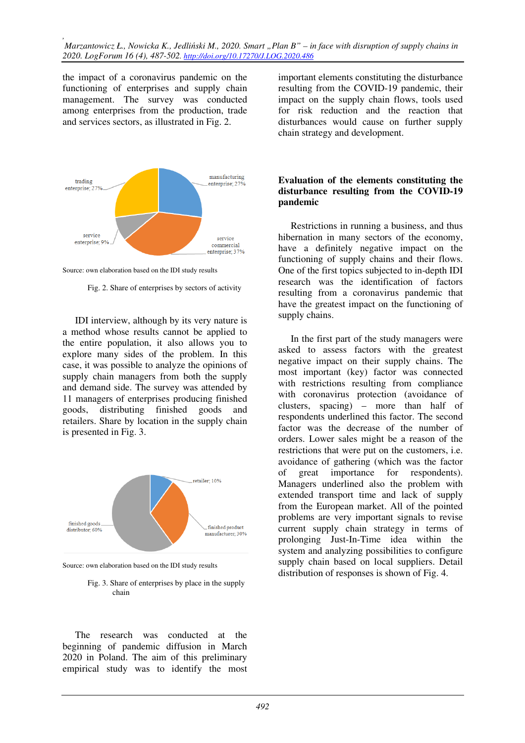the impact of a coronavirus pandemic on the functioning of enterprises and supply chain management. The survey was conducted among enterprises from the production, trade and services sectors, as illustrated in Fig. 2.



Source: own elaboration based on the IDI study results

Fig. 2. Share of enterprises by sectors of activity

IDI interview, although by its very nature is a method whose results cannot be applied to the entire population, it also allows you to explore many sides of the problem. In this case, it was possible to analyze the opinions of supply chain managers from both the supply and demand side. The survey was attended by 11 managers of enterprises producing finished goods, distributing finished goods and retailers. Share by location in the supply chain is presented in Fig. 3.



Source: own elaboration based on the IDI study results

 Fig. 3. Share of enterprises by place in the supply chain

The research was conducted at the beginning of pandemic diffusion in March 2020 in Poland. The aim of this preliminary empirical study was to identify the most important elements constituting the disturbance resulting from the COVID-19 pandemic, their impact on the supply chain flows, tools used for risk reduction and the reaction that disturbances would cause on further supply chain strategy and development.

#### **Evaluation of the elements constituting the disturbance resulting from the COVID-19 pandemic**

Restrictions in running a business, and thus hibernation in many sectors of the economy, have a definitely negative impact on the functioning of supply chains and their flows. One of the first topics subjected to in-depth IDI research was the identification of factors resulting from a coronavirus pandemic that have the greatest impact on the functioning of supply chains.

In the first part of the study managers were asked to assess factors with the greatest negative impact on their supply chains. The most important (key) factor was connected with restrictions resulting from compliance with coronavirus protection (avoidance of clusters, spacing) – more than half of respondents underlined this factor. The second factor was the decrease of the number of orders. Lower sales might be a reason of the restrictions that were put on the customers, i.e. avoidance of gathering (which was the factor of great importance for respondents). Managers underlined also the problem with extended transport time and lack of supply from the European market. All of the pointed problems are very important signals to revise current supply chain strategy in terms of prolonging Just-In-Time idea within the system and analyzing possibilities to configure supply chain based on local suppliers. Detail distribution of responses is shown of Fig. 4.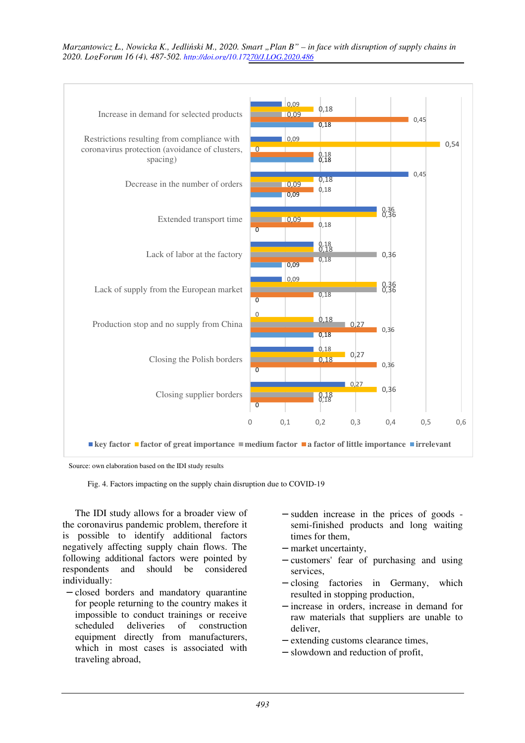

Source: own elaboration based on the IDI study results

Fig. 4. Factors impacting on the supply chain disruption due to COVID-19

The IDI study allows for a broader view of the coronavirus pandemic problem, therefore it is possible to identify additional factors negatively affecting supply chain flows. The following additional factors were pointed by respondents and should be considered individually:

- − closed borders and mandatory quarantine for people returning to the country makes it impossible to conduct trainings or receive scheduled deliveries of construction equipment directly from manufacturers, which in most cases is associated with traveling abroad,
- − sudden increase in the prices of goods semi-finished products and long waiting times for them,
- − market uncertainty,
- − customers' fear of purchasing and using services,
- − closing factories in Germany, which resulted in stopping production,
- − increase in orders, increase in demand for raw materials that suppliers are unable to deliver,
- − extending customs clearance times,
- − slowdown and reduction of profit,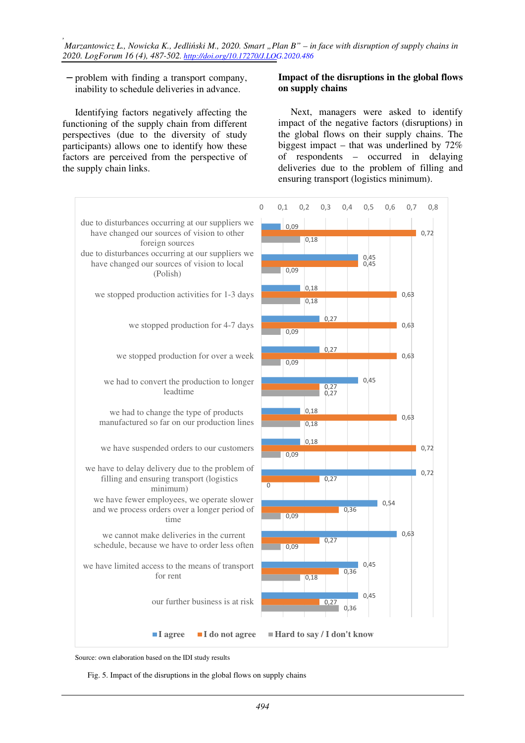*, Marzantowicz Ł., Nowicka K., Jedliński M., 2020. Smart "Plan B" – in face with disruption of supply chains in 2020. LogForum 16 (4), 487-502. http://doi.org/10.17270/J.LOG.2020.486* 

− problem with finding a transport company, inability to schedule deliveries in advance.

Identifying factors negatively affecting the functioning of the supply chain from different perspectives (due to the diversity of study participants) allows one to identify how these factors are perceived from the perspective of the supply chain links.

#### **Impact of the disruptions in the global flows on supply chains**

Next, managers were asked to identify impact of the negative factors (disruptions) in the global flows on their supply chains. The biggest impact – that was underlined by  $72\%$ of respondents – occurred in delaying deliveries due to the problem of filling and ensuring transport (logistics minimum).



Source: own elaboration based on the IDI study results

Fig. 5. Impact of the disruptions in the global flows on supply chains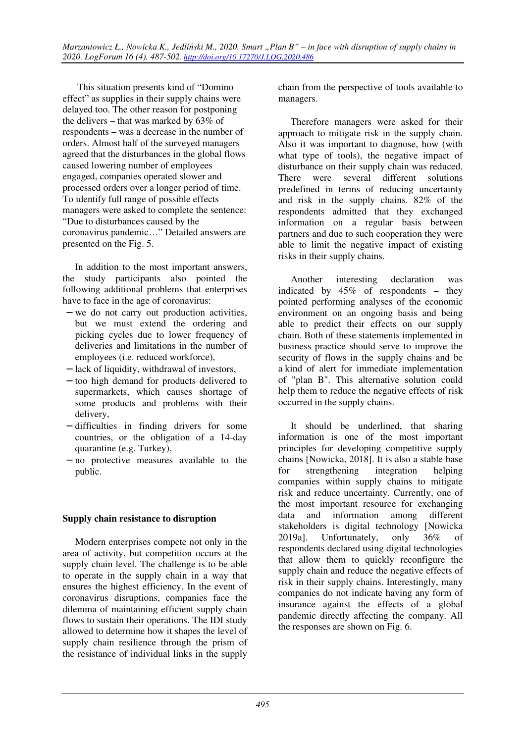This situation presents kind of "Domino effect" as supplies in their supply chains were delayed too. The other reason for postponing the delivers – that was marked by 63% of respondents – was a decrease in the number of orders. Almost half of the surveyed managers agreed that the disturbances in the global flows caused lowering number of employees engaged, companies operated slower and processed orders over a longer period of time. To identify full range of possible effects managers were asked to complete the sentence: "Due to disturbances caused by the coronavirus pandemic…" Detailed answers are presented on the Fig. 5.

In addition to the most important answers, the study participants also pointed the following additional problems that enterprises have to face in the age of coronavirus:

- − we do not carry out production activities, but we must extend the ordering and picking cycles due to lower frequency of deliveries and limitations in the number of employees (i.e. reduced workforce),
- − lack of liquidity, withdrawal of investors,
- − too high demand for products delivered to supermarkets, which causes shortage of some products and problems with their delivery,
- − difficulties in finding drivers for some countries, or the obligation of a 14-day quarantine (e.g. Turkey),
- − no protective measures available to the public.

### **Supply chain resistance to disruption**

Modern enterprises compete not only in the area of activity, but competition occurs at the supply chain level. The challenge is to be able to operate in the supply chain in a way that ensures the highest efficiency. In the event of coronavirus disruptions, companies face the dilemma of maintaining efficient supply chain flows to sustain their operations. The IDI study allowed to determine how it shapes the level of supply chain resilience through the prism of the resistance of individual links in the supply

chain from the perspective of tools available to managers.

Therefore managers were asked for their approach to mitigate risk in the supply chain. Also it was important to diagnose, how (with what type of tools), the negative impact of disturbance on their supply chain was reduced. There were several different solutions predefined in terms of reducing uncertainty and risk in the supply chains. 82% of the respondents admitted that they exchanged information on a regular basis between partners and due to such cooperation they were able to limit the negative impact of existing risks in their supply chains.

Another interesting declaration was indicated by 45% of respondents – they pointed performing analyses of the economic environment on an ongoing basis and being able to predict their effects on our supply chain. Both of these statements implemented in business practice should serve to improve the security of flows in the supply chains and be a kind of alert for immediate implementation of "plan B". This alternative solution could help them to reduce the negative effects of risk occurred in the supply chains.

It should be underlined, that sharing information is one of the most important principles for developing competitive supply chains [Nowicka, 2018]. It is also a stable base for strengthening integration helping companies within supply chains to mitigate risk and reduce uncertainty. Currently, one of the most important resource for exchanging data and information among different stakeholders is digital technology [Nowicka 2019a]. Unfortunately, only 36% of respondents declared using digital technologies that allow them to quickly reconfigure the supply chain and reduce the negative effects of risk in their supply chains. Interestingly, many companies do not indicate having any form of insurance against the effects of a global pandemic directly affecting the company. All the responses are shown on Fig. 6.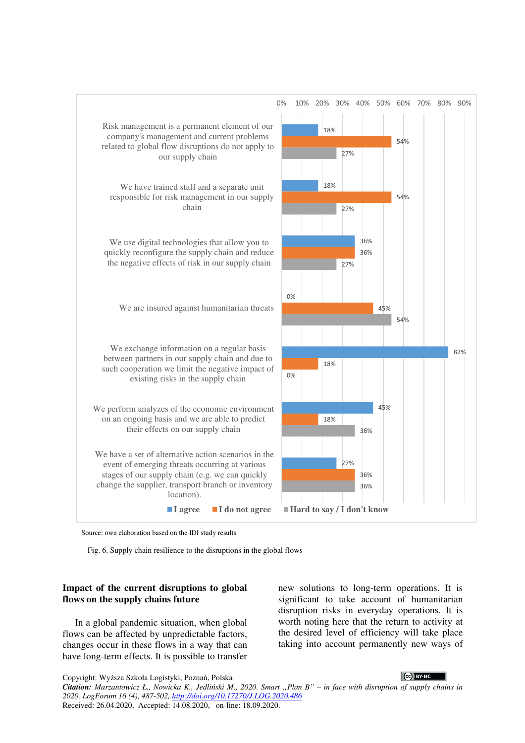

Source: own elaboration based on the IDI study results

Fig. 6. Supply chain resilience to the disruptions in the global flows

#### **Impact of the current disruptions to global flows on the supply chains future**

In a global pandemic situation, when global flows can be affected by unpredictable factors, changes occur in these flows in a way that can have long-term effects. It is possible to transfer new solutions to long-term operations. It is significant to take account of humanitarian disruption risks in everyday operations. It is worth noting here that the return to activity at the desired level of efficiency will take place taking into account permanently new ways of

#### CC BY-NC

Copyright: Wyższa Szkoła Logistyki, Poznań, Polska *Citation: Marzantowicz Ł., Nowicka K., Jedliński M., 2020. Smart "Plan B" – in face with disruption of supply chains in 2020. LogForum 16 (4), 487-502, http://doi.org/10.17270/J.LOG.2020.486*  Received: 26.04.2020, Accepted: 14.08.2020, on-line: 18.09.2020.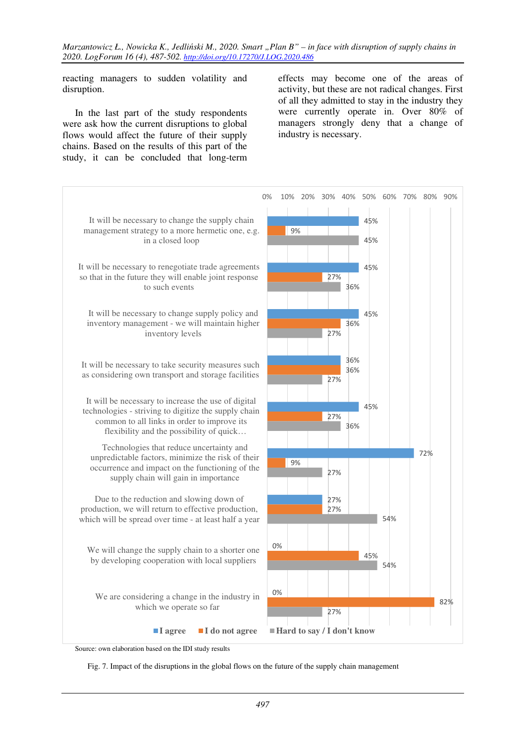reacting managers to sudden volatility and disruption.

In the last part of the study respondents were ask how the current disruptions to global flows would affect the future of their supply chains. Based on the results of this part of the study, it can be concluded that long-term

effects may become one of the areas of activity, but these are not radical changes. First of all they admitted to stay in the industry they were currently operate in. Over 80% of managers strongly deny that a change of industry is necessary.



Source: own elaboration based on the IDI study results

Fig. 7. Impact of the disruptions in the global flows on the future of the supply chain management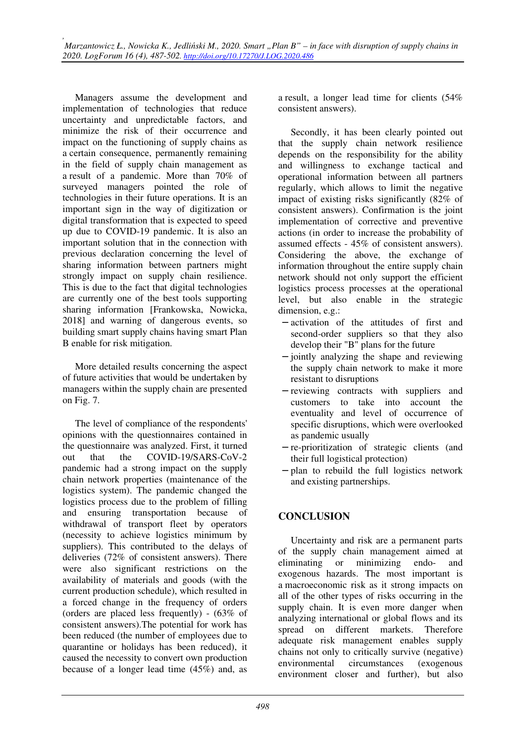Managers assume the development and implementation of technologies that reduce uncertainty and unpredictable factors, and minimize the risk of their occurrence and impact on the functioning of supply chains as a certain consequence, permanently remaining in the field of supply chain management as a result of a pandemic. More than 70% of surveyed managers pointed the role of technologies in their future operations. It is an important sign in the way of digitization or digital transformation that is expected to speed up due to COVID-19 pandemic. It is also an important solution that in the connection with previous declaration concerning the level of sharing information between partners might strongly impact on supply chain resilience. This is due to the fact that digital technologies are currently one of the best tools supporting sharing information [Frankowska, Nowicka, 2018] and warning of dangerous events, so building smart supply chains having smart Plan B enable for risk mitigation.

More detailed results concerning the aspect of future activities that would be undertaken by managers within the supply chain are presented on Fig. 7.

The level of compliance of the respondents' opinions with the questionnaires contained in the questionnaire was analyzed. First, it turned out that the COVID-19/SARS-CoV-2 pandemic had a strong impact on the supply chain network properties (maintenance of the logistics system). The pandemic changed the logistics process due to the problem of filling and ensuring transportation because of withdrawal of transport fleet by operators (necessity to achieve logistics minimum by suppliers). This contributed to the delays of deliveries (72% of consistent answers). There were also significant restrictions on the availability of materials and goods (with the current production schedule), which resulted in a forced change in the frequency of orders (orders are placed less frequently) - (63% of consistent answers).The potential for work has been reduced (the number of employees due to quarantine or holidays has been reduced), it caused the necessity to convert own production because of a longer lead time (45%) and, as

a result, a longer lead time for clients (54% consistent answers).

Secondly, it has been clearly pointed out that the supply chain network resilience depends on the responsibility for the ability and willingness to exchange tactical and operational information between all partners regularly, which allows to limit the negative impact of existing risks significantly (82% of consistent answers). Confirmation is the joint implementation of corrective and preventive actions (in order to increase the probability of assumed effects - 45% of consistent answers). Considering the above, the exchange of information throughout the entire supply chain network should not only support the efficient logistics processes at the operational level, but also enable in the strategic dimension, e.g.:

- − activation of the attitudes of first and second-order suppliers so that they also develop their "B" plans for the future
- − jointly analyzing the shape and reviewing the supply chain network to make it more resistant to disruptions
- − reviewing contracts with suppliers and customers to take into account the eventuality and level of occurrence of specific disruptions, which were overlooked as pandemic usually
- − re-prioritization of strategic clients (and their full logistical protection)
- − plan to rebuild the full logistics network and existing partnerships.

### **CONCLUSION**

Uncertainty and risk are a permanent parts of the supply chain management aimed at eliminating or minimizing endo- and exogenous hazards. The most important is a macroeconomic risk as it strong impacts on all of the other types of risks occurring in the supply chain. It is even more danger when analyzing international or global flows and its spread on different markets. Therefore adequate risk management enables supply chains not only to critically survive (negative) environmental circumstances (exogenous environment closer and further), but also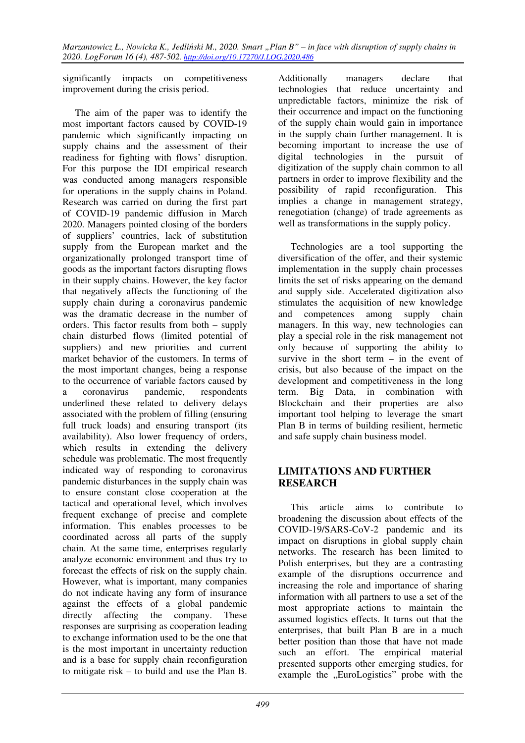significantly impacts on competitiveness improvement during the crisis period.

The aim of the paper was to identify the most important factors caused by COVID-19 pandemic which significantly impacting on supply chains and the assessment of their readiness for fighting with flows' disruption. For this purpose the IDI empirical research was conducted among managers responsible for operations in the supply chains in Poland. Research was carried on during the first part of COVID-19 pandemic diffusion in March 2020. Managers pointed closing of the borders of suppliers' countries, lack of substitution supply from the European market and the organizationally prolonged transport time of goods as the important factors disrupting flows in their supply chains. However, the key factor that negatively affects the functioning of the supply chain during a coronavirus pandemic was the dramatic decrease in the number of orders. This factor results from both – supply chain disturbed flows (limited potential of suppliers) and new priorities and current market behavior of the customers. In terms of the most important changes, being a response to the occurrence of variable factors caused by a coronavirus pandemic, respondents underlined these related to delivery delays associated with the problem of filling (ensuring full truck loads) and ensuring transport (its availability). Also lower frequency of orders, which results in extending the delivery schedule was problematic. The most frequently indicated way of responding to coronavirus pandemic disturbances in the supply chain was to ensure constant close cooperation at the tactical and operational level, which involves frequent exchange of precise and complete information. This enables processes to be coordinated across all parts of the supply chain. At the same time, enterprises regularly analyze economic environment and thus try to forecast the effects of risk on the supply chain. However, what is important, many companies do not indicate having any form of insurance against the effects of a global pandemic directly affecting the company. These responses are surprising as cooperation leading to exchange information used to be the one that is the most important in uncertainty reduction and is a base for supply chain reconfiguration to mitigate risk – to build and use the Plan B.

Additionally managers declare that technologies that reduce uncertainty and unpredictable factors, minimize the risk of their occurrence and impact on the functioning of the supply chain would gain in importance in the supply chain further management. It is becoming important to increase the use of digital technologies in the pursuit of digitization of the supply chain common to all partners in order to improve flexibility and the possibility of rapid reconfiguration. This implies a change in management strategy, renegotiation (change) of trade agreements as well as transformations in the supply policy.

Technologies are a tool supporting the diversification of the offer, and their systemic implementation in the supply chain processes limits the set of risks appearing on the demand and supply side. Accelerated digitization also stimulates the acquisition of new knowledge and competences among supply chain managers. In this way, new technologies can play a special role in the risk management not only because of supporting the ability to survive in the short term  $-$  in the event of crisis, but also because of the impact on the development and competitiveness in the long term. Big Data, in combination with Blockchain and their properties are also important tool helping to leverage the smart Plan B in terms of building resilient, hermetic and safe supply chain business model.

### **LIMITATIONS AND FURTHER RESEARCH**

This article aims to contribute to broadening the discussion about effects of the COVID-19/SARS-CoV-2 pandemic and its impact on disruptions in global supply chain networks. The research has been limited to Polish enterprises, but they are a contrasting example of the disruptions occurrence and increasing the role and importance of sharing information with all partners to use a set of the most appropriate actions to maintain the assumed logistics effects. It turns out that the enterprises, that built Plan B are in a much better position than those that have not made such an effort. The empirical material presented supports other emerging studies, for example the "EuroLogistics" probe with the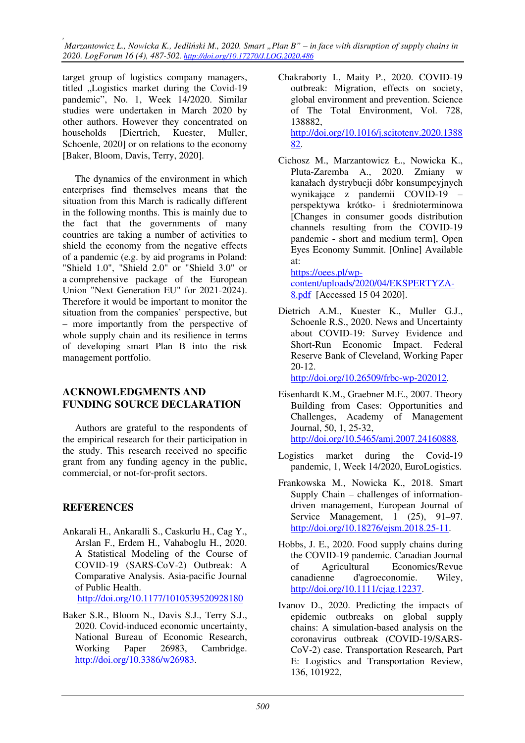*, Marzantowicz Ł., Nowicka K., Jedliński M., 2020. Smart "Plan B" – in face with disruption of supply chains in 2020. LogForum 16 (4), 487-502. http://doi.org/10.17270/J.LOG.2020.486* 

target group of logistics company managers, titled .Logistics market during the Covid-19 pandemic", No. 1, Week 14/2020. Similar studies were undertaken in March 2020 by other authors. However they concentrated on households [Diertrich, Kuester, Muller, Schoenle, 2020] or on relations to the economy [Baker, Bloom, Davis, Terry, 2020].

The dynamics of the environment in which enterprises find themselves means that the situation from this March is radically different in the following months. This is mainly due to the fact that the governments of many countries are taking a number of activities to shield the economy from the negative effects of a pandemic (e.g. by aid programs in Poland: "Shield 1.0", "Shield 2.0" or "Shield 3.0" or a comprehensive package of the European Union "Next Generation EU" for 2021-2024). Therefore it would be important to monitor the situation from the companies' perspective, but – more importantly from the perspective of whole supply chain and its resilience in terms of developing smart Plan B into the risk management portfolio.

### **ACKNOWLEDGMENTS AND FUNDING SOURCE DECLARATION**

Authors are grateful to the respondents of the empirical research for their participation in the study. This research received no specific grant from any funding agency in the public, commercial, or not-for-profit sectors.

### **REFERENCES**

- Ankarali H., Ankaralli S., Caskurlu H., Cag Y., Arslan F., Erdem H., Vahaboglu H., 2020. A Statistical Modeling of the Course of COVID-19 (SARS-CoV-2) Outbreak: A Comparative Analysis. Asia-pacific Journal of Public Health. http://doi.org/10.1177/1010539520928180
- Baker S.R., Bloom N., Davis S.J., Terry S.J., 2020. Covid-induced economic uncertainty, National Bureau of Economic Research, Working Paper 26983, Cambridge. http://doi.org/10.3386/w26983.
- Chakraborty I., Maity P., 2020. COVID-19 outbreak: Migration, effects on society, global environment and prevention. Science of The Total Environment, Vol. 728, 138882, http://doi.org/10.1016/j.scitotenv.2020.1388 82.
- Cichosz M., Marzantowicz Ł., Nowicka K., Pluta-Zaremba A., 2020. Zmiany w kanałach dystrybucji dóbr konsumpcyjnych wynikające z pandemii COVID-19 – perspektywa krótko- i średnioterminowa [Changes in consumer goods distribution channels resulting from the COVID-19 pandemic - short and medium term], Open Eyes Economy Summit. [Online] Available at:

https://oees.pl/wpcontent/uploads/2020/04/EKSPERTYZA-8.pdf [Accessed 15 04 2020].

Dietrich A.M., Kuester K., Muller G.J., Schoenle R.S., 2020. News and Uncertainty about COVID-19: Survey Evidence and Short-Run Economic Impact. Federal Reserve Bank of Cleveland, Working Paper 20-12.

http://doi.org/10.26509/frbc-wp-202012.

- Eisenhardt K.M., Graebner M.E., 2007. Theory Building from Cases: Opportunities and Challenges, Academy of Management Journal, 50, 1, 25-32, http://doi.org/10.5465/amj.2007.24160888.
- Logistics market during the Covid-19 pandemic, 1, Week 14/2020, EuroLogistics.
- Frankowska M., Nowicka K., 2018. Smart Supply Chain – challenges of informationdriven management, European Journal of Service Management, 1 (25), 91–97. http://doi.org/10.18276/ejsm.2018.25-11.
- Hobbs, J. E., 2020. Food supply chains during the COVID-19 pandemic. Canadian Journal of Agricultural Economics/Revue canadienne d'agroeconomie. Wiley, http://doi.org/10.1111/cjag.12237.
- Ivanov D., 2020. Predicting the impacts of epidemic outbreaks on global supply chains: A simulation-based analysis on the coronavirus outbreak (COVID-19/SARS-CoV-2) case. Transportation Research, Part E: Logistics and Transportation Review, 136, 101922,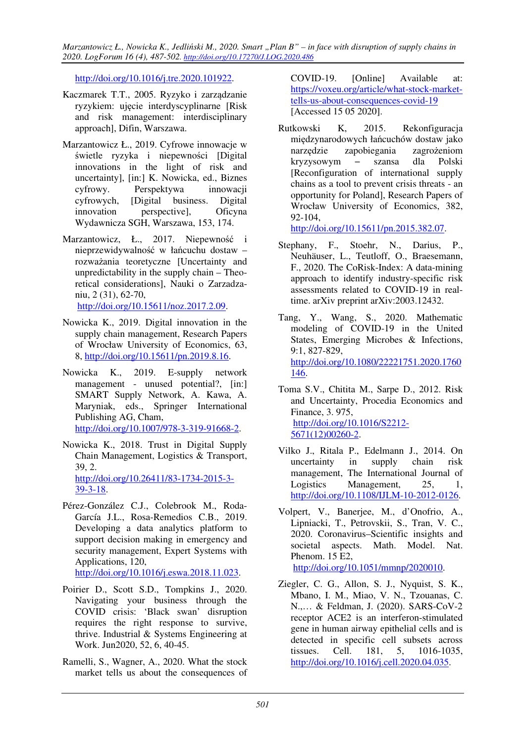*Marzantowicz Ł., Nowicka K., Jedliński M., 2020. Smart "Plan B" – in face with disruption of supply chains in 2020. LogForum 16 (4), 487-502. http://doi.org/10.17270/J.LOG.2020.486* 

http://doi.org/10.1016/j.tre.2020.101922.

- Kaczmarek T.T., 2005. Ryzyko i zarządzanie ryzykiem: ujęcie interdyscyplinarne [Risk and risk management: interdisciplinary approach], Difin, Warszawa.
- Marzantowicz Ł., 2019. Cyfrowe innowacje w świetle ryzyka i niepewności [Digital innovations in the light of risk and uncertainty], [in:] K. Nowicka, ed., Biznes cyfrowy. Perspektywa innowacji cyfrowych, [Digital business. Digital innovation perspective], Oficyna Wydawnicza SGH, Warszawa, 153, 174.
- Marzantowicz, Ł., 2017. Niepewność i nieprzewidywalność w łańcuchu dostaw – rozważania teoretyczne [Uncertainty and unpredictability in the supply chain – Theoretical considerations], Nauki o Zarzadzaniu, 2 (31), 62-70, http://doi.org/10.15611/noz.2017.2.09.
- Nowicka K., 2019. Digital innovation in the supply chain management, Research Papers of Wrocław University of Economics, 63, 8, http://doi.org/10.15611/pn.2019.8.16.
- Nowicka K., 2019. E-supply network management - unused potential?, [in:] SMART Supply Network, A. Kawa, A. Maryniak, eds., Springer International Publishing AG, Cham, http://doi.org/10.1007/978-3-319-91668-2.
- Nowicka K., 2018. Trust in Digital Supply Chain Management, Logistics & Transport, 39, 2. http://doi.org/10.26411/83-1734-2015-3- 39-3-18.
- Pérez-González C.J., Colebrook M., Roda-García J.L., Rosa-Remedios C.B., 2019. Developing a data analytics platform to support decision making in emergency and security management, Expert Systems with Applications, 120, http://doi.org/10.1016/j.eswa.2018.11.023.
- Poirier D., Scott S.D., Tompkins J., 2020. Navigating your business through the COVID crisis: 'Black swan' disruption requires the right response to survive, thrive. Industrial & Systems Engineering at Work. Jun2020, 52, 6, 40-45.
- Ramelli, S., Wagner, A., 2020. What the stock market tells us about the consequences of

COVID-19. [Online] Available at: https://voxeu.org/article/what-stock-markettells-us-about-consequences-covid-19 [Accessed 15 05 2020].

Rutkowski K, 2015. Rekonfiguracja międzynarodowych łańcuchów dostaw jako narzędzie zapobiegania zagrożeniom kryzysowym − szansa dla Polski [Reconfiguration of international supply chains as a tool to prevent crisis threats - an opportunity for Poland], Research Papers of Wrocław University of Economics, 382, 92-104,

http://doi.org/10.15611/pn.2015.382.07.

- Stephany, F., Stoehr, N., Darius, P., Neuhäuser, L., Teutloff, O., Braesemann, F., 2020. The CoRisk-Index: A data-mining approach to identify industry-specific risk assessments related to COVID-19 in realtime. arXiv preprint arXiv:2003.12432.
- Tang, Y., Wang, S., 2020. Mathematic modeling of COVID-19 in the United States, Emerging Microbes & Infections, 9:1, 827-829, http://doi.org/10.1080/22221751.2020.1760 146.
- Toma S.V., Chitita M., Sarpe D., 2012. Risk and Uncertainty, Procedia Economics and Finance, 3. 975, http://doi.org/10.1016/S2212- 5671(12)00260-2.
- Vilko J., Ritala P., Edelmann J., 2014. On uncertainty in supply chain risk management, The International Journal of Logistics Management, 25, 1, http://doi.org/10.1108/IJLM-10-2012-0126.
- Volpert, V., Banerjee, M., d'Onofrio, A., Lipniacki, T., Petrovskii, S., Tran, V. C., 2020. Coronavirus–Scientific insights and societal aspects. Math. Model. Nat. Phenom. 15 E2, http://doi.org/10.1051/mmnp/2020010.
- Ziegler, C. G., Allon, S. J., Nyquist, S. K., Mbano, I. M., Miao, V. N., Tzouanas, C. N.,… & Feldman, J. (2020). SARS-CoV-2 receptor ACE2 is an interferon-stimulated gene in human airway epithelial cells and is detected in specific cell subsets across tissues. Cell. 181, 5, 1016-1035, http://doi.org/10.1016/j.cell.2020.04.035.